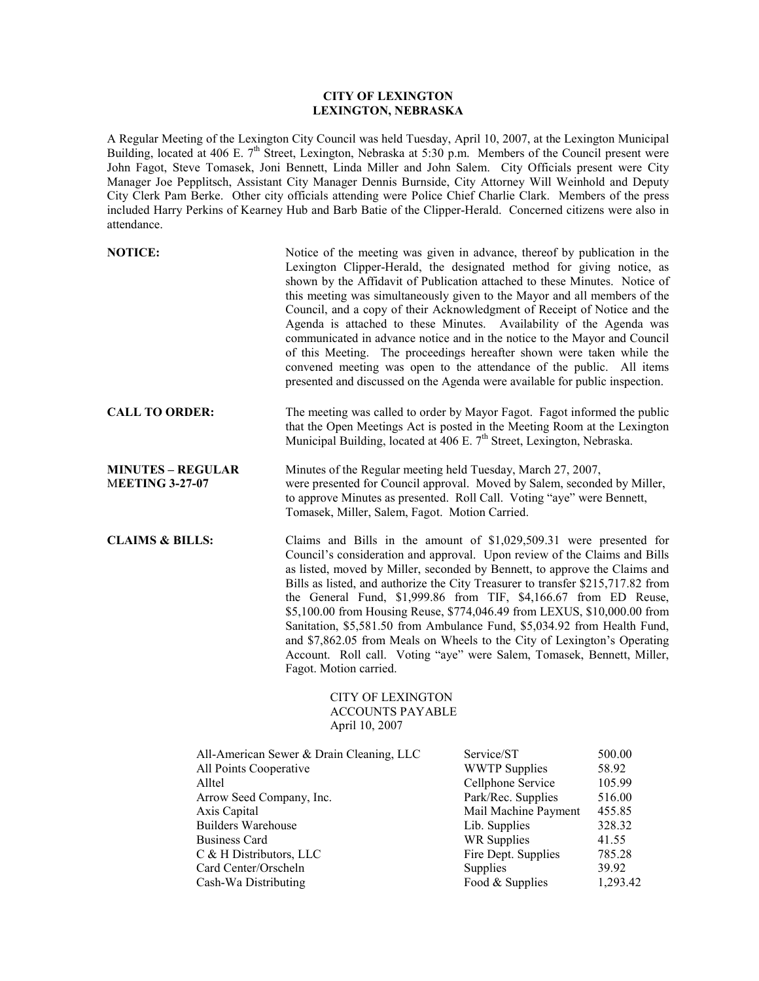## **CITY OF LEXINGTON LEXINGTON, NEBRASKA**

A Regular Meeting of the Lexington City Council was held Tuesday, April 10, 2007, at the Lexington Municipal Building, located at 406 E. 7<sup>th</sup> Street, Lexington, Nebraska at 5:30 p.m. Members of the Council present were John Fagot, Steve Tomasek, Joni Bennett, Linda Miller and John Salem. City Officials present were City Manager Joe Pepplitsch, Assistant City Manager Dennis Burnside, City Attorney Will Weinhold and Deputy City Clerk Pam Berke. Other city officials attending were Police Chief Charlie Clark. Members of the press included Harry Perkins of Kearney Hub and Barb Batie of the Clipper-Herald. Concerned citizens were also in attendance.

| <b>NOTICE:</b>                                                                                                                                                                                                                                           | Notice of the meeting was given in advance, thereof by publication in the<br>Lexington Clipper-Herald, the designated method for giving notice, as<br>shown by the Affidavit of Publication attached to these Minutes. Notice of<br>this meeting was simultaneously given to the Mayor and all members of the<br>Council, and a copy of their Acknowledgment of Receipt of Notice and the<br>Agenda is attached to these Minutes. Availability of the Agenda was<br>communicated in advance notice and in the notice to the Mayor and Council<br>of this Meeting. The proceedings hereafter shown were taken while the<br>convened meeting was open to the attendance of the public. All items<br>presented and discussed on the Agenda were available for public inspection. |                                                                                                                                                                                                    |                                                                                                 |
|----------------------------------------------------------------------------------------------------------------------------------------------------------------------------------------------------------------------------------------------------------|-------------------------------------------------------------------------------------------------------------------------------------------------------------------------------------------------------------------------------------------------------------------------------------------------------------------------------------------------------------------------------------------------------------------------------------------------------------------------------------------------------------------------------------------------------------------------------------------------------------------------------------------------------------------------------------------------------------------------------------------------------------------------------|----------------------------------------------------------------------------------------------------------------------------------------------------------------------------------------------------|-------------------------------------------------------------------------------------------------|
| <b>CALL TO ORDER:</b>                                                                                                                                                                                                                                    | The meeting was called to order by Mayor Fagot. Fagot informed the public<br>that the Open Meetings Act is posted in the Meeting Room at the Lexington<br>Municipal Building, located at 406 E. 7 <sup>th</sup> Street, Lexington, Nebraska.                                                                                                                                                                                                                                                                                                                                                                                                                                                                                                                                  |                                                                                                                                                                                                    |                                                                                                 |
| <b>MINUTES - REGULAR</b><br><b>MEETING 3-27-07</b>                                                                                                                                                                                                       | Minutes of the Regular meeting held Tuesday, March 27, 2007,<br>were presented for Council approval. Moved by Salem, seconded by Miller,<br>to approve Minutes as presented. Roll Call. Voting "aye" were Bennett,<br>Tomasek, Miller, Salem, Fagot. Motion Carried.                                                                                                                                                                                                                                                                                                                                                                                                                                                                                                          |                                                                                                                                                                                                    |                                                                                                 |
| <b>CLAIMS &amp; BILLS:</b>                                                                                                                                                                                                                               | Claims and Bills in the amount of \$1,029,509.31 were presented for<br>Council's consideration and approval. Upon review of the Claims and Bills<br>as listed, moved by Miller, seconded by Bennett, to approve the Claims and<br>Bills as listed, and authorize the City Treasurer to transfer \$215,717.82 from<br>the General Fund, \$1,999.86 from TIF, \$4,166.67 from ED Reuse,<br>\$5,100.00 from Housing Reuse, \$774,046.49 from LEXUS, \$10,000.00 from<br>Sanitation, \$5,581.50 from Ambulance Fund, \$5,034.92 from Health Fund,<br>and \$7,862.05 from Meals on Wheels to the City of Lexington's Operating<br>Account. Roll call. Voting "aye" were Salem, Tomasek, Bennett, Miller,<br>Fagot. Motion carried.                                                 |                                                                                                                                                                                                    |                                                                                                 |
|                                                                                                                                                                                                                                                          | <b>CITY OF LEXINGTON</b><br><b>ACCOUNTS PAYABLE</b><br>April 10, 2007                                                                                                                                                                                                                                                                                                                                                                                                                                                                                                                                                                                                                                                                                                         |                                                                                                                                                                                                    |                                                                                                 |
| All-American Sewer & Drain Cleaning, LLC<br>All Points Cooperative<br>Alltel<br>Arrow Seed Company, Inc.<br>Axis Capital<br><b>Builders Warehouse</b><br><b>Business Card</b><br>C & H Distributors, LLC<br>Card Center/Orscheln<br>Cash-Wa Distributing |                                                                                                                                                                                                                                                                                                                                                                                                                                                                                                                                                                                                                                                                                                                                                                               | Service/ST<br><b>WWTP</b> Supplies<br>Cellphone Service<br>Park/Rec. Supplies<br>Mail Machine Payment<br>Lib. Supplies<br><b>WR Supplies</b><br>Fire Dept. Supplies<br>Supplies<br>Food & Supplies | 500.00<br>58.92<br>105.99<br>516.00<br>455.85<br>328.32<br>41.55<br>785.28<br>39.92<br>1,293.42 |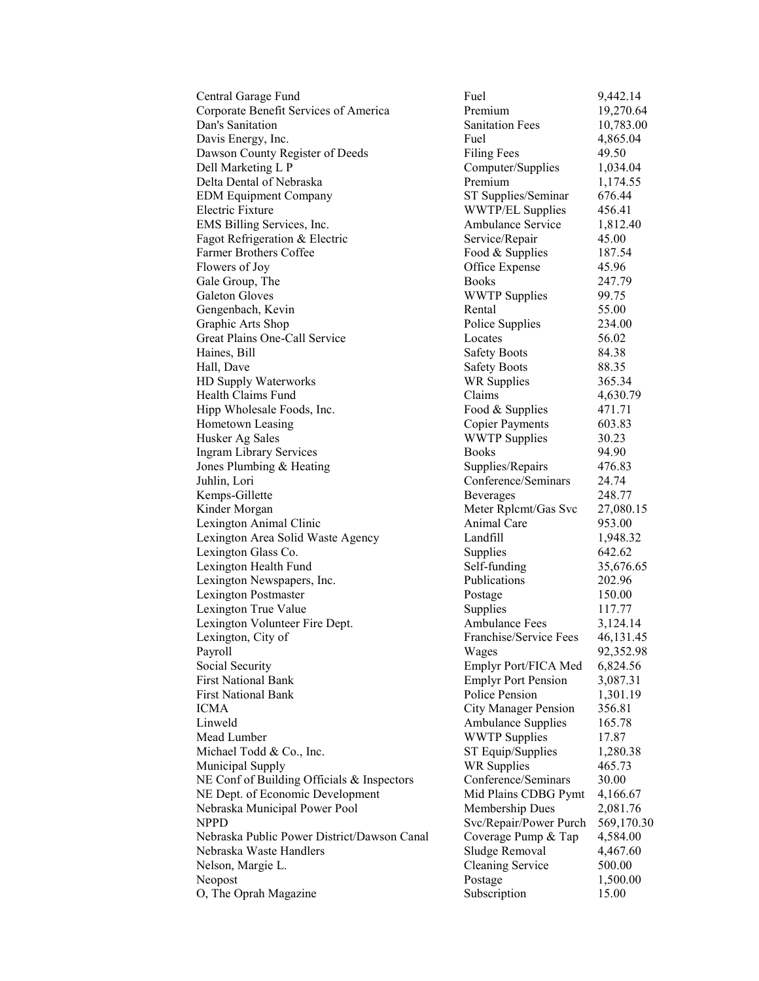| Central Garage Fund                         | Fuel                        | 9,442.14    |
|---------------------------------------------|-----------------------------|-------------|
| Corporate Benefit Services of America       | Premium                     | 19,270.64   |
| Dan's Sanitation                            | <b>Sanitation Fees</b>      | 10,783.00   |
| Davis Energy, Inc.                          | Fuel                        | 4,865.04    |
| Dawson County Register of Deeds             | <b>Filing Fees</b>          | 49.50       |
| Dell Marketing L P                          | Computer/Supplies           | 1,034.04    |
| Delta Dental of Nebraska                    | Premium                     | 1,174.55    |
| <b>EDM Equipment Company</b>                | ST Supplies/Seminar         | 676.44      |
| Electric Fixture                            | <b>WWTP/EL Supplies</b>     | 456.41      |
| EMS Billing Services, Inc.                  | <b>Ambulance Service</b>    | 1,812.40    |
| Fagot Refrigeration & Electric              | Service/Repair              | 45.00       |
| <b>Farmer Brothers Coffee</b>               | Food & Supplies             | 187.54      |
| Flowers of Joy                              | Office Expense              | 45.96       |
| Gale Group, The                             | <b>Books</b>                | 247.79      |
| Galeton Gloves                              | <b>WWTP</b> Supplies        | 99.75       |
| Gengenbach, Kevin                           | Rental                      | 55.00       |
| Graphic Arts Shop                           | Police Supplies             | 234.00      |
| Great Plains One-Call Service               | Locates                     | 56.02       |
| Haines, Bill                                | <b>Safety Boots</b>         | 84.38       |
| Hall, Dave                                  | <b>Safety Boots</b>         | 88.35       |
| HD Supply Waterworks                        | <b>WR Supplies</b>          | 365.34      |
| Health Claims Fund                          | Claims                      | 4,630.79    |
| Hipp Wholesale Foods, Inc.                  | Food & Supplies             | 471.71      |
| Hometown Leasing                            | <b>Copier Payments</b>      | 603.83      |
| Husker Ag Sales                             | <b>WWTP Supplies</b>        | 30.23       |
| <b>Ingram Library Services</b>              | <b>Books</b>                | 94.90       |
| Jones Plumbing & Heating                    | Supplies/Repairs            | 476.83      |
| Juhlin, Lori                                | Conference/Seminars         | 24.74       |
| Kemps-Gillette                              | Beverages                   | 248.77      |
| Kinder Morgan                               | Meter Rplcmt/Gas Svc        | 27,080.15   |
| Lexington Animal Clinic                     | <b>Animal Care</b>          | 953.00      |
| Lexington Area Solid Waste Agency           | Landfill                    | 1,948.32    |
| Lexington Glass Co.                         | Supplies                    | 642.62      |
| Lexington Health Fund                       | Self-funding                | 35,676.65   |
| Lexington Newspapers, Inc.                  | Publications                | 202.96      |
| <b>Lexington Postmaster</b>                 | Postage                     | 150.00      |
| Lexington True Value                        | Supplies                    | 117.77      |
| Lexington Volunteer Fire Dept.              | <b>Ambulance Fees</b>       | 3,124.14    |
| Lexington, City of                          | Franchise/Service Fees      | 46, 131. 45 |
| Payroll                                     | Wages                       | 92,352.98   |
| Social Security                             | Emplyr Port/FICA Med        | 6,824.56    |
| <b>First National Bank</b>                  | <b>Emplyr Port Pension</b>  | 3,087.31    |
| <b>First National Bank</b>                  | Police Pension              | 1,301.19    |
| ICMA                                        | <b>City Manager Pension</b> | 356.81      |
| Linweld                                     | <b>Ambulance Supplies</b>   | 165.78      |
| Mead Lumber                                 | <b>WWTP Supplies</b>        | 17.87       |
| Michael Todd & Co., Inc.                    | ST Equip/Supplies           | 1,280.38    |
| Municipal Supply                            | <b>WR Supplies</b>          | 465.73      |
| NE Conf of Building Officials & Inspectors  | Conference/Seminars         | 30.00       |
| NE Dept. of Economic Development            | Mid Plains CDBG Pymt        | 4,166.67    |
| Nebraska Municipal Power Pool               | Membership Dues             | 2,081.76    |
| NPPD                                        | Svc/Repair/Power Purch      | 569,170.30  |
| Nebraska Public Power District/Dawson Canal | Coverage Pump & Tap         | 4,584.00    |
| Nebraska Waste Handlers                     | Sludge Removal              | 4,467.60    |
| Nelson, Margie L.                           | <b>Cleaning Service</b>     | 500.00      |
| Neopost                                     | Postage                     | 1,500.00    |
| O, The Oprah Magazine                       | Subscription                | 15.00       |
|                                             |                             |             |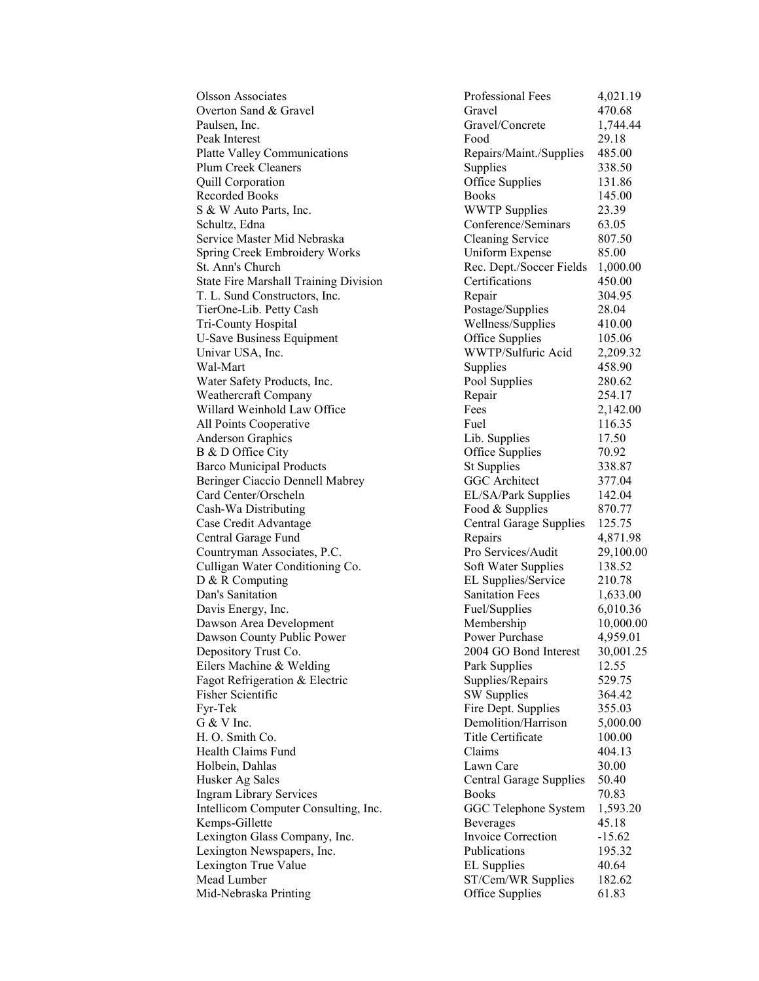Overton Sand & Gravel Gravel Gravel 470.68 Paulsen, Inc. **Example 2** Gravel/Concrete 1,744.44 Peak Interest **Food** 29.18 Platte Valley Communications Repairs/Maint./Supplies 485.00 Plum Creek Cleaners Supplies 338.50 Quill Corporation Office Supplies 131.86 Recorded Books 145.00 S & W Auto Parts, Inc. WWTP Supplies 23.39 Schultz, Edna Conference/Seminars 63.05 Service Master Mid Nebraska Cleaning Service 807.50 Spring Creek Embroidery Works Uniform Expense 85.00 St. Ann's Church Rec. Dept./Soccer Fields 1,000.00 State Fire Marshall Training Division Certifications 450.00 T. L. Sund Constructors, Inc. Repair 304.95 TierOne-Lib. Petty Cash Postage/Supplies 28.04 Tri-County Hospital Wellness/Supplies 410.00 U-Save Business Equipment **Office Supplies** 105.06 Univar USA, Inc.<br>
WWTP/Sulfuric Acid 2,209.32<br>
Supplies 458.90<br>
Agents 458.90 Wal-Mart 2012 12:38 Supplies 258.90 Water Safety Products, Inc. Pool Supplies 280.62 Weathercraft Company Repair 254.17 Willard Weinhold Law Office Fees 2,142.00 All Points Cooperative Fuel Fuel 116.35 Anderson Graphics **Lib.** Supplies 17.50 B & D Office City **Office Supplies** 70.92 Barco Municipal Products St Supplies 338.87 Beringer Ciaccio Dennell Mabrey GGC Architect 377.04 Card Center/Orscheln EL/SA/Park Supplies 142.04 Cash-Wa Distributing Food & Supplies 870.77 Case Credit Advantage Central Garage Supplies 125.75<br>Central Garage Fund Repairs 2,871.98 Central Garage Fund Countryman Associates, P.C. Pro Services/Audit 29,100.00 Culligan Water Conditioning Co. Soft Water Supplies 138.52<br>D & R Computing Co. EL Supplies/Service 210.78 Dan's Sanitation Sanitation Fees 1,633.00 Davis Energy, Inc.<br>
Dawson Area Development<br>
Dawson Area Development<br>  $\mu$  Membership<br>  $\mu$  Membership<br>
10.000.00 Dawson Area Development Membership 10,000.00 Dawson County Public Power **Property** Power Purchase 4,959.01 Depository Trust Co. 2004 GO Bond Interest 30,001.25 Eilers Machine & Welding The Park Supplies 12.55 Fagot Refrigeration & Electric Supplies/Repairs 529.75 Fisher Scientific SW Supplies 364.42 Fyr-Tek Fire Dept. Supplies 355.03 G & V Inc. 6.000.00 Demolition/Harrison 5,000.00 H. O. Smith Co. Title Certificate 100.00 Health Claims Fund Claims **604.13** Holbein, Dahlas Lawn Care 30.00 Husker Ag Sales Central Garage Supplies 50.40 Ingram Library Services Books 70.83 Intellicom Computer Consulting, Inc. GGC Telephone System 1,593.20 Kemps-Gillette Beverages 45.18<br>
Lexington Glass Company. Inc. 15.62 Lexington Glass Company, Inc. Invoice Correction -15.62 Lexington Newspapers, Inc.<br>
195.32<br>
Lexington True Value<br>
20.64<br>
20.64<br>
20.64 Lexington True Value **EL Supplies** Mead Lumber ST/Cem/WR Supplies 182.62 Mid-Nebraska Printing Office Supplies 61.83

Olsson Associates Professional Fees 4,021.19 EL Supplies/Service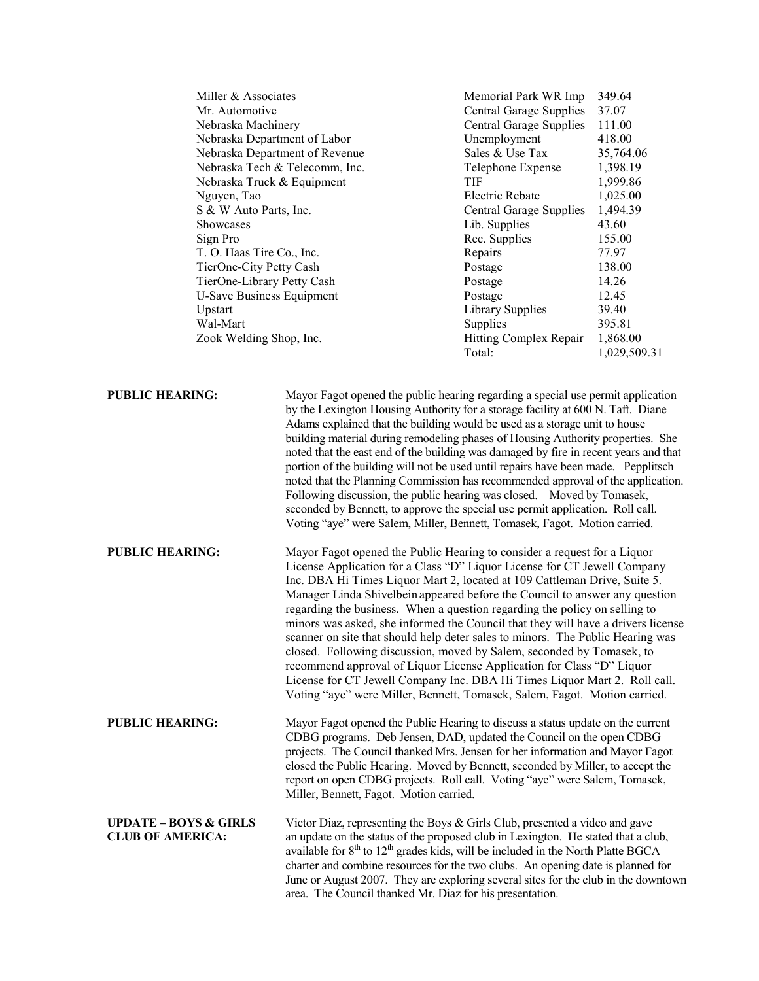| Miller & Associates              | Memorial Park WR Imp           | 349.64    |
|----------------------------------|--------------------------------|-----------|
| Mr. Automotive                   | <b>Central Garage Supplies</b> | 37.07     |
| Nebraska Machinery               | <b>Central Garage Supplies</b> | 111.00    |
| Nebraska Department of Labor     | Unemployment                   | 418.00    |
| Nebraska Department of Revenue   | Sales & Use Tax                | 35,764.06 |
| Nebraska Tech & Telecomm, Inc.   | Telephone Expense              | 1,398.19  |
| Nebraska Truck & Equipment       | TIF                            | 1,999.86  |
| Nguyen, Tao                      | Electric Rebate                | 1,025.00  |
| S & W Auto Parts, Inc.           | Central Garage Supplies        | 1,494.39  |
| <b>Showcases</b>                 | Lib. Supplies                  | 43.60     |
| Sign Pro                         | Rec. Supplies                  | 155.00    |
| T. O. Haas Tire Co., Inc.        | Repairs                        | 77.97     |
| TierOne-City Petty Cash          | Postage                        | 138.00    |
| TierOne-Library Petty Cash       | Postage                        | 14.26     |
| <b>U-Save Business Equipment</b> | Postage                        | 12.45     |
| Upstart                          | Library Supplies               | 39.40     |
| Wal-Mart                         | Supplies                       | 395.81    |
| Zook Welding Shop, Inc.          | Hitting Complex Repair         | 1,868.00  |

Total: 1,029,509.31

**PUBLIC HEARING:** Mayor Fagot opened the public hearing regarding a special use permit application by the Lexington Housing Authority for a storage facility at 600 N. Taft. Diane Adams explained that the building would be used as a storage unit to house building material during remodeling phases of Housing Authority properties. She noted that the east end of the building was damaged by fire in recent years and that portion of the building will not be used until repairs have been made. Pepplitsch noted that the Planning Commission has recommended approval of the application. Following discussion, the public hearing was closed. Moved by Tomasek, seconded by Bennett, to approve the special use permit application. Roll call. Voting "aye" were Salem, Miller, Bennett, Tomasek, Fagot. Motion carried.

**PUBLIC HEARING:** Mayor Fagot opened the Public Hearing to consider a request for a Liquor License Application for a Class "D" Liquor License for CT Jewell Company Inc. DBA Hi Times Liquor Mart 2, located at 109 Cattleman Drive, Suite 5. Manager Linda Shivelbein appeared before the Council to answer any question regarding the business. When a question regarding the policy on selling to minors was asked, she informed the Council that they will have a drivers license scanner on site that should help deter sales to minors. The Public Hearing was closed. Following discussion, moved by Salem, seconded by Tomasek, to recommend approval of Liquor License Application for Class "D" Liquor License for CT Jewell Company Inc. DBA Hi Times Liquor Mart 2. Roll call. Voting "aye" were Miller, Bennett, Tomasek, Salem, Fagot. Motion carried.

**PUBLIC HEARING:** Mayor Fagot opened the Public Hearing to discuss a status update on the current CDBG programs. Deb Jensen, DAD, updated the Council on the open CDBG projects. The Council thanked Mrs. Jensen for her information and Mayor Fagot closed the Public Hearing. Moved by Bennett, seconded by Miller, to accept the report on open CDBG projects. Roll call. Voting "aye" were Salem, Tomasek, Miller, Bennett, Fagot. Motion carried.

**UPDATE – BOYS & GIRLS** Victor Diaz, representing the Boys & Girls Club, presented a video and gave CLUB OF AMERICA: an update on the status of the proposed club in Lexington. He stated that a clu an update on the status of the proposed club in Lexington. He stated that a club, available for  $8<sup>th</sup>$  to  $12<sup>th</sup>$  grades kids, will be included in the North Platte BGCA charter and combine resources for the two clubs. An opening date is planned for June or August 2007. They are exploring several sites for the club in the downtown area. The Council thanked Mr. Diaz for his presentation.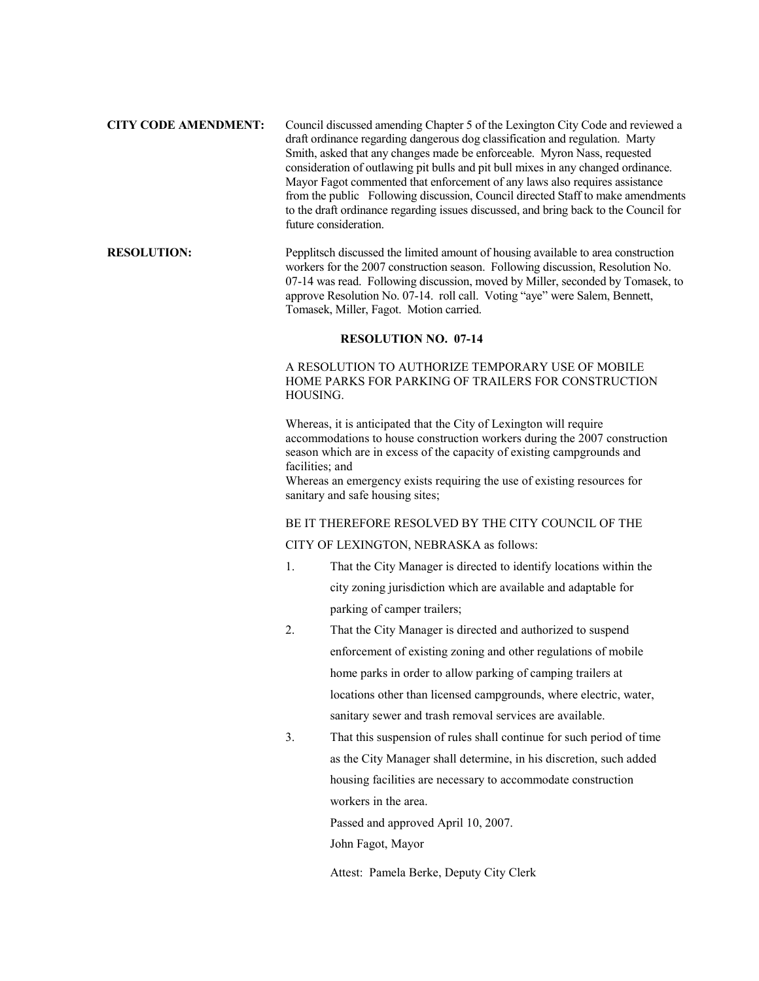## **CITY CODE AMENDMENT:** Council discussed amending Chapter 5 of the Lexington City Code and reviewed a draft ordinance regarding dangerous dog classification and regulation. Marty Smith, asked that any changes made be enforceable. Myron Nass, requested consideration of outlawing pit bulls and pit bull mixes in any changed ordinance. Mayor Fagot commented that enforcement of any laws also requires assistance from the public Following discussion, Council directed Staff to make amendments to the draft ordinance regarding issues discussed, and bring back to the Council for future consideration.

## **RESOLUTION:** Pepplitsch discussed the limited amount of housing available to area construction workers for the 2007 construction season. Following discussion, Resolution No. 07-14 was read. Following discussion, moved by Miller, seconded by Tomasek, to approve Resolution No. 07-14. roll call. Voting "aye" were Salem, Bennett, Tomasek, Miller, Fagot. Motion carried.

#### **RESOLUTION NO. 07-14**

# A RESOLUTION TO AUTHORIZE TEMPORARY USE OF MOBILE HOME PARKS FOR PARKING OF TRAILERS FOR CONSTRUCTION HOUSING.

Whereas, it is anticipated that the City of Lexington will require accommodations to house construction workers during the 2007 construction season which are in excess of the capacity of existing campgrounds and facilities; and

Whereas an emergency exists requiring the use of existing resources for sanitary and safe housing sites;

### BE IT THEREFORE RESOLVED BY THE CITY COUNCIL OF THE

## CITY OF LEXINGTON, NEBRASKA as follows:

- 1. That the City Manager is directed to identify locations within the city zoning jurisdiction which are available and adaptable for parking of camper trailers;
- 2. That the City Manager is directed and authorized to suspend enforcement of existing zoning and other regulations of mobile home parks in order to allow parking of camping trailers at locations other than licensed campgrounds, where electric, water, sanitary sewer and trash removal services are available.
- 3. That this suspension of rules shall continue for such period of time as the City Manager shall determine, in his discretion, such added housing facilities are necessary to accommodate construction workers in the area.

Passed and approved April 10, 2007. John Fagot, Mayor

Attest: Pamela Berke, Deputy City Clerk